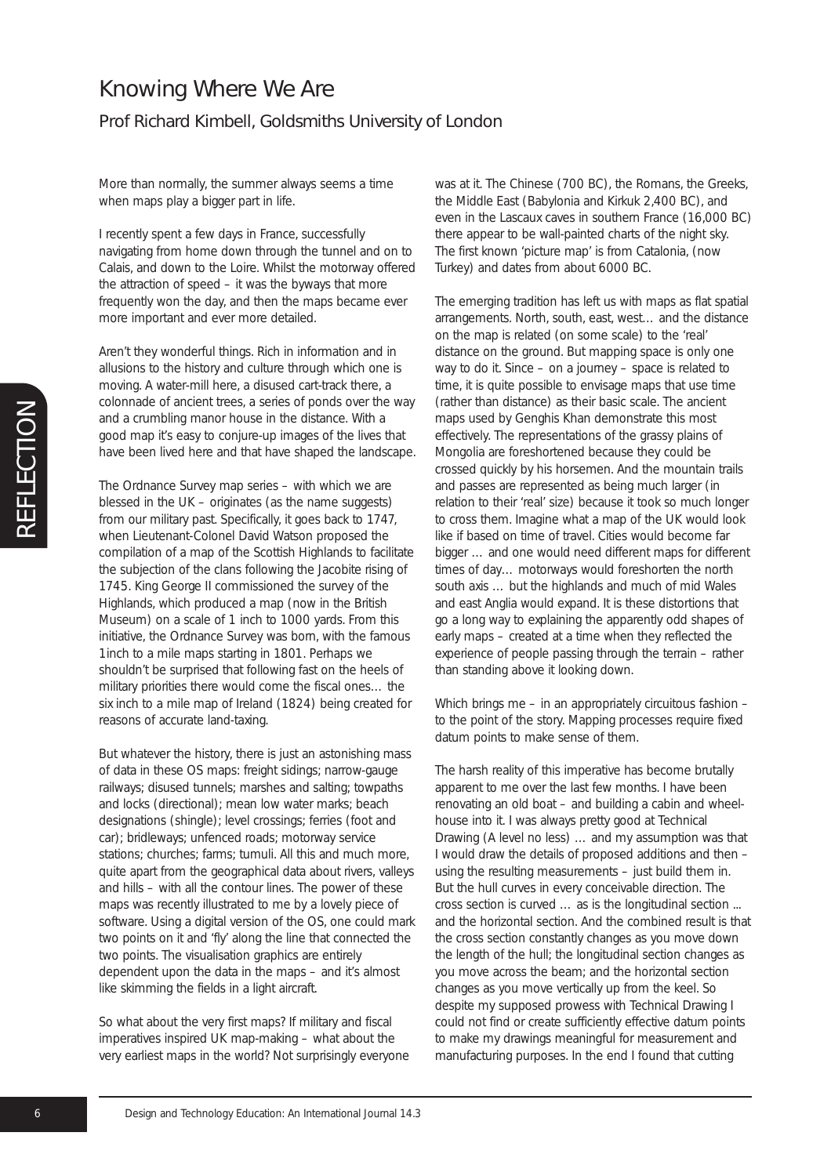## Knowing Where We Are

## Prof Richard Kimbell, Goldsmiths University of London

More than normally, the summer always seems a time when maps play a bigger part in life.

I recently spent a few days in France, successfully navigating from home down through the tunnel and on to Calais, and down to the Loire. Whilst the motorway offered the attraction of speed – it was the byways that more frequently won the day, and then the maps became ever more important and ever more detailed.

Aren't they wonderful things. Rich in information and in allusions to the history and culture through which one is moving. A water-mill here, a disused cart-track there, a colonnade of ancient trees, a series of ponds over the way and a crumbling manor house in the distance. With a good map it's easy to conjure-up images of the lives that have been lived here and that have shaped the landscape.

The Ordnance Survey map series – with which we are blessed in the UK – originates (as the name suggests) from our military past. Specifically, it goes back to 1747, when Lieutenant-Colonel David Watson proposed the compilation of a map of the Scottish Highlands to facilitate the subjection of the clans following the Jacobite rising of 1745. King George II commissioned the survey of the Highlands, which produced a map (now in the British Museum) on a scale of 1 inch to 1000 yards. From this initiative, the Ordnance Survey was born, with the famous 1inch to a mile maps starting in 1801. Perhaps we shouldn't be surprised that following fast on the heels of military priorities there would come the fiscal ones… the six inch to a mile map of Ireland (1824) being created for reasons of accurate land-taxing.

But whatever the history, there is just an astonishing mass of data in these OS maps: freight sidings; narrow-gauge railways; disused tunnels; marshes and salting; towpaths and locks (directional); mean low water marks; beach designations (shingle); level crossings; ferries (foot and car); bridleways; unfenced roads; motorway service stations; churches; farms; tumuli. All this and much more, quite apart from the geographical data about rivers, valleys and hills – with all the contour lines. The power of these maps was recently illustrated to me by a lovely piece of software. Using a digital version of the OS, one could mark two points on it and 'fly' along the line that connected the two points. The visualisation graphics are entirely dependent upon the data in the maps – and it's almost like skimming the fields in a light aircraft.

So what about the very first maps? If military and fiscal imperatives inspired UK map-making – what about the very earliest maps in the world? Not surprisingly everyone was at it. The Chinese (700 BC), the Romans, the Greeks, the Middle East (Babylonia and Kirkuk 2,400 BC), and even in the Lascaux caves in southern France (16,000 BC) there appear to be wall-painted charts of the night sky. The first known 'picture map' is from Catalonia, (now Turkey) and dates from about 6000 BC.

The emerging tradition has left us with maps as flat spatial arrangements. North, south, east, west… and the distance on the map is related (on some scale) to the 'real' distance on the ground. But mapping space is only one way to do it. Since – on a journey – space is related to time, it is quite possible to envisage maps that use time (rather than distance) as their basic scale. The ancient maps used by Genghis Khan demonstrate this most effectively. The representations of the grassy plains of Mongolia are foreshortened because they could be crossed quickly by his horsemen. And the mountain trails and passes are represented as being much larger (in relation to their 'real' size) because it took so much longer to cross them. Imagine what a map of the UK would look like if based on time of travel. Cities would become far bigger … and one would need different maps for different times of day… motorways would foreshorten the north south axis … but the highlands and much of mid Wales and east Anglia would expand. It is these distortions that go a long way to explaining the apparently odd shapes of early maps – created at a time when they reflected the experience of people passing through the terrain – rather than standing above it looking down.

Which brings me – in an appropriately circuitous fashion – to the point of the story. Mapping processes require fixed datum points to make sense of them.

The harsh reality of this imperative has become brutally apparent to me over the last few months. I have been renovating an old boat – and building a cabin and wheelhouse into it. I was always pretty good at Technical Drawing (A level no less) … and my assumption was that I would draw the details of proposed additions and then – using the resulting measurements – just build them in. But the hull curves in every conceivable direction. The cross section is curved … as is the longitudinal section ... and the horizontal section. And the combined result is that the cross section constantly changes as you move down the length of the hull; the longitudinal section changes as you move across the beam; and the horizontal section changes as you move vertically up from the keel. So despite my supposed prowess with Technical Drawing I could not find or create sufficiently effective datum points to make my drawings meaningful for measurement and manufacturing purposes. In the end I found that cutting